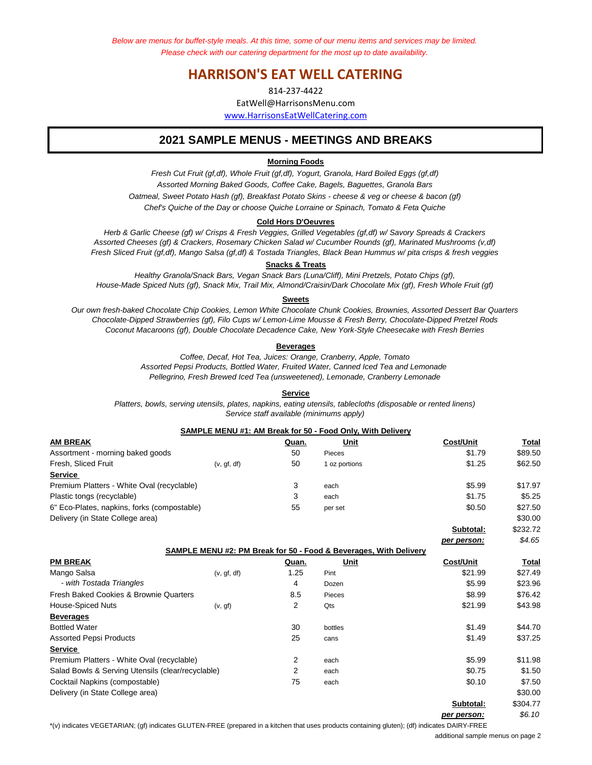*Below are menus for buffet-style meals. At this time, some of our menu items and services may be limited. Please check with our catering department for the most up to date availability.* 

# **HARRISON'S EAT WELL CATERING**

814-237-4422 EatWell@HarrisonsMenu.com www.HarrisonsEatWellCatering.com

# **2021 SAMPLE MENUS - MEETINGS AND BREAKS**

## **Morning Foods**

*Fresh Cut Fruit (gf,df), Whole Fruit (gf,df), Yogurt, Granola, Hard Boiled Eggs (gf,df) Assorted Morning Baked Goods, Coffee Cake, Bagels, Baguettes, Granola Bars Oatmeal, Sweet Potato Hash (gf), Breakfast Potato Skins - cheese & veg or cheese & bacon (gf) Chef's Quiche of the Day or choose Quiche Lorraine or Spinach, Tomato & Feta Quiche*

#### **Cold Hors D'Oeuvres**

*Fresh Sliced Fruit (gf,df), Mango Salsa (gf,df) & Tostada Triangles, Black Bean Hummus w/ pita crisps & fresh veggies Assorted Cheeses (gf) & Crackers, Rosemary Chicken Salad w/ Cucumber Rounds (gf), Marinated Mushrooms (v,df) Herb & Garlic Cheese (gf) w/ Crisps & Fresh Veggies, Grilled Vegetables (gf,df) w/ Savory Spreads & Crackers*

### **Snacks & Treats**

*Healthy Granola/Snack Bars, Vegan Snack Bars (Luna/Cliff), Mini Pretzels, Potato Chips (gf), House-Made Spiced Nuts (gf), Snack Mix, Trail Mix, Almond/Craisin/Dark Chocolate Mix (gf), Fresh Whole Fruit (gf)*

#### **Sweets**

*Coconut Macaroons (gf), Double Chocolate Decadence Cake, New York-Style Cheesecake with Fresh Berries Our own fresh-baked Chocolate Chip Cookies, Lemon White Chocolate Chunk Cookies, Brownies, Assorted Dessert Bar Quarters Chocolate-Dipped Strawberries (gf), Filo Cups w/ Lemon-Lime Mousse & Fresh Berry, Chocolate-Dipped Pretzel Rods*

#### **Beverages**

*Coffee, Decaf, Hot Tea, Juices: Orange, Cranberry, Apple, Tomato Assorted Pepsi Products, Bottled Water, Fruited Water, Canned Iced Tea and Lemonade Pellegrino, Fresh Brewed Iced Tea (unsweetened), Lemonade, Cranberry Lemonade*

**Service** *Service staff available (minimums apply) Platters, bowls, serving utensils, plates, napkins, eating utensils, tablecloths (disposable or rented linens)*

## **SAMPLE MENU #1: AM Break for 50 - Food Only, With Delivery**

| AM BREAK                                          |             | Quan. | Unit                                                              | Cost/Unit        | Total        |
|---------------------------------------------------|-------------|-------|-------------------------------------------------------------------|------------------|--------------|
| Assortment - morning baked goods                  |             | 50    | Pieces                                                            | \$1.79           | \$89.50      |
| Fresh, Sliced Fruit                               | (v, gf, df) | 50    | 1 oz portions                                                     | \$1.25           | \$62.50      |
| <u>Service</u>                                    |             |       |                                                                   |                  |              |
| Premium Platters - White Oval (recyclable)        |             | 3     | each                                                              | \$5.99           | \$17.97      |
| Plastic tongs (recyclable)                        |             | 3     | each                                                              | \$1.75           | \$5.25       |
| 6" Eco-Plates, napkins, forks (compostable)       |             | 55    | per set                                                           | \$0.50           | \$27.50      |
| Delivery (in State College area)                  |             |       |                                                                   |                  | \$30.00      |
|                                                   |             |       |                                                                   | Subtotal:        | \$232.72     |
|                                                   |             |       |                                                                   | per person:      | \$4.65       |
|                                                   |             |       | SAMPLE MENU #2: PM Break for 50 - Food & Beverages, With Delivery |                  |              |
| <b>PM BREAK</b>                                   |             | Quan. | Unit                                                              | <b>Cost/Unit</b> | <u>Total</u> |
| Mango Salsa                                       | (v, gf, df) | 1.25  | Pint                                                              | \$21.99          | \$27.49      |
| - with Tostada Triangles                          |             | 4     | Dozen                                                             | \$5.99           | \$23.96      |
| <b>Fresh Baked Cookies &amp; Brownie Quarters</b> |             | 8.5   | Pieces                                                            | \$8.99           | \$76.42      |
| <b>House-Spiced Nuts</b>                          | (v, gf)     | 2     | Qts                                                               | \$21.99          | \$43.98      |
| <b>Beverages</b>                                  |             |       |                                                                   |                  |              |
| <b>Bottled Water</b>                              |             | 30    | bottles                                                           | \$1.49           | \$44.70      |
| <b>Assorted Pepsi Products</b>                    |             | 25    | cans                                                              | \$1.49           | \$37.25      |
| <b>Service</b>                                    |             |       |                                                                   |                  |              |
| Premium Platters - White Oval (recyclable)        |             | 2     | each                                                              | \$5.99           | \$11.98      |
| Salad Bowls & Serving Utensils (clear/recyclable) |             | 2     | each                                                              | \$0.75           | \$1.50       |
| Cocktail Napkins (compostable)                    |             | 75    | each                                                              | \$0.10           | \$7.50       |
| Delivery (in State College area)                  |             |       |                                                                   |                  | \$30.00      |
|                                                   |             |       |                                                                   | Subtotal:        | \$304.77     |
|                                                   |             |       |                                                                   |                  |              |

*per person: \$6.10*

\*(v) indicates VEGETARIAN; (gf) indicates GLUTEN-FREE (prepared in a kitchen that uses products containing gluten); (df) indicates DAIRY-FREE

additional sample menus on page 2